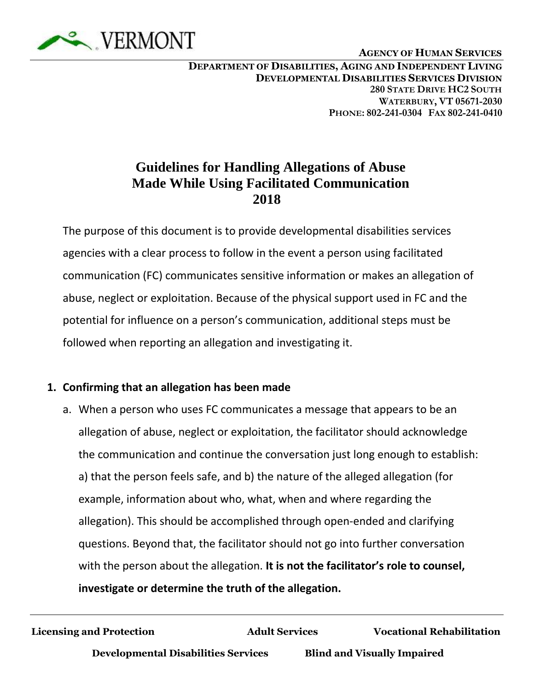

 **<sup>A</sup>GENCY OF HUMAN SERVICES**

## **Guidelines for Handling Allegations of Abuse Made While Using Facilitated Communication 2018**

The purpose of this document is to provide developmental disabilities services agencies with a clear process to follow in the event a person using facilitated communication (FC) communicates sensitive information or makes an allegation of abuse, neglect or exploitation. Because of the physical support used in FC and the potential for influence on a person's communication, additional steps must be followed when reporting an allegation and investigating it.

## **1. Confirming that an allegation has been made**

a. When a person who uses FC communicates a message that appears to be an allegation of abuse, neglect or exploitation, the facilitator should acknowledge the communication and continue the conversation just long enough to establish: a) that the person feels safe, and b) the nature of the alleged allegation (for example, information about who, what, when and where regarding the allegation). This should be accomplished through open-ended and clarifying questions. Beyond that, the facilitator should not go into further conversation with the person about the allegation. **It is not the facilitator's role to counsel, investigate or determine the truth of the allegation.**

**Licensing and Protection Adult Services Vocational Rehabilitation**

**Developmental Disabilities Services Blind and Visually Impaired**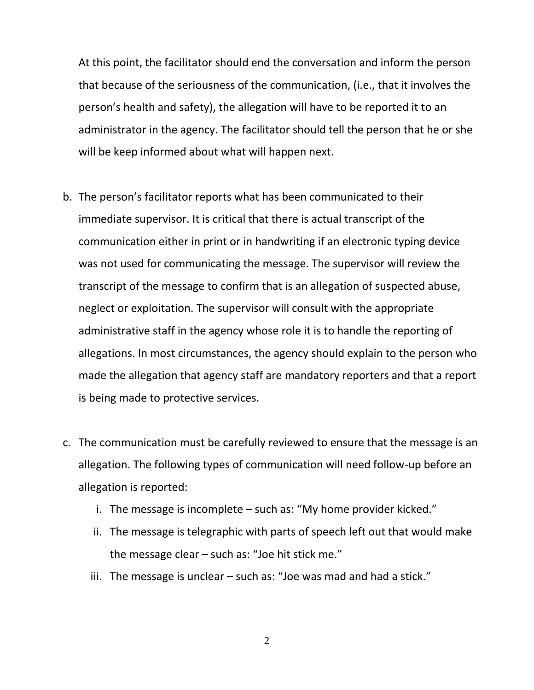At this point, the facilitator should end the conversation and inform the person that because of the seriousness of the communication, (i.e., that it involves the person's health and safety), the allegation will have to be reported it to an administrator in the agency. The facilitator should tell the person that he or she will be keep informed about what will happen next.

- b. The person's facilitator reports what has been communicated to their immediate supervisor. It is critical that there is actual transcript of the communication either in print or in handwriting if an electronic typing device was not used for communicating the message. The supervisor will review the transcript of the message to confirm that is an allegation of suspected abuse, neglect or exploitation. The supervisor will consult with the appropriate administrative staff in the agency whose role it is to handle the reporting of allegations. In most circumstances, the agency should explain to the person who made the allegation that agency staff are mandatory reporters and that a report is being made to protective services.
- c. The communication must be carefully reviewed to ensure that the message is an allegation. The following types of communication will need follow-up before an allegation is reported:
	- i. The message is incomplete such as: "My home provider kicked."
	- ii. The message is telegraphic with parts of speech left out that would make the message clear – such as: "Joe hit stick me."
	- iii. The message is unclear  $-$  such as: "Joe was mad and had a stick."

2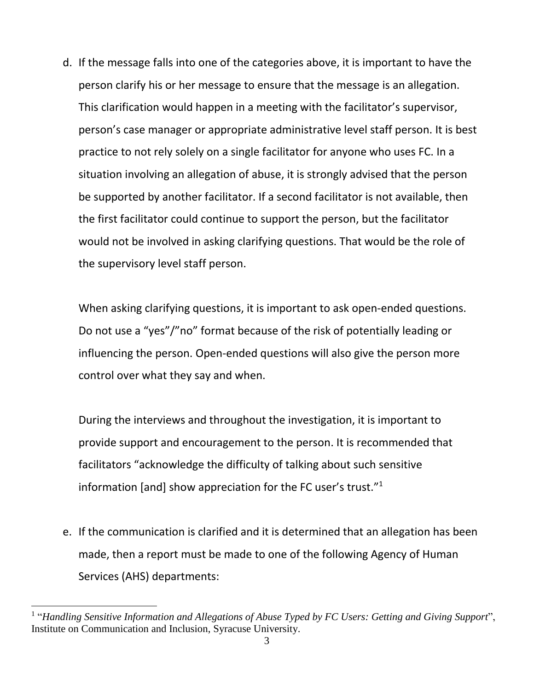d. If the message falls into one of the categories above, it is important to have the person clarify his or her message to ensure that the message is an allegation. This clarification would happen in a meeting with the facilitator's supervisor, person's case manager or appropriate administrative level staff person. It is best practice to not rely solely on a single facilitator for anyone who uses FC. In a situation involving an allegation of abuse, it is strongly advised that the person be supported by another facilitator. If a second facilitator is not available, then the first facilitator could continue to support the person, but the facilitator would not be involved in asking clarifying questions. That would be the role of the supervisory level staff person.

When asking clarifying questions, it is important to ask open-ended questions. Do not use a "yes"/"no" format because of the risk of potentially leading or influencing the person. Open-ended questions will also give the person more control over what they say and when.

During the interviews and throughout the investigation, it is important to provide support and encouragement to the person. It is recommended that facilitators "acknowledge the difficulty of talking about such sensitive information [and] show appreciation for the FC user's trust."<sup>1</sup>

e. If the communication is clarified and it is determined that an allegation has been made, then a report must be made to one of the following Agency of Human Services (AHS) departments:

 $\overline{a}$ 

<sup>&</sup>lt;sup>1</sup> "Handling Sensitive Information and Allegations of Abuse Typed by FC Users: Getting and Giving Support", Institute on Communication and Inclusion, Syracuse University.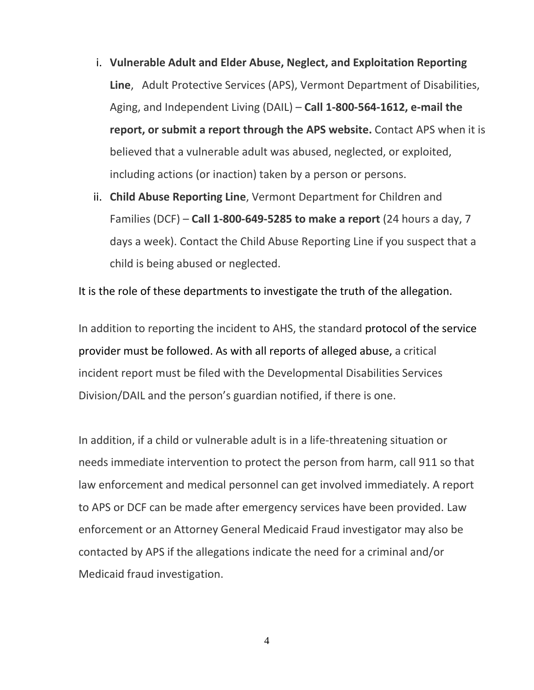- i. **[Vulnerable Adult and Elder Abuse, Neglect, and Exploitation Reporting](http://dlp.vermont.gov/aps/make-aps-report)  [Line](http://dlp.vermont.gov/aps/make-aps-report)**, [Adult Protective Services \(APS\),](http://dlp.vermont.gov/aps) Vermont Department of Disabilities, Aging, and Independent Living (DAIL) – **Call 1-800-564-1612, [e-mail](mailto:AHS.DAILDLPIntake@vermont.gov?subject=Report%20of%20Abuse%2C%20Neglect%20or%20Exploitation) the report, or submit a report through the [APS website.](http://dlp.vermont.gov/aps)** Contact APS when it is believed that a vulnerable adult was abused, neglected, or exploited, including actions (or inaction) taken by a person or persons.
- ii. **Child Abuse Reporting Line**[, Vermont Department for Children and](http://dcf.vermont.gov/protection/reporting)  [Families \(DCF\)](http://dcf.vermont.gov/protection/reporting) – **Call 1-800-649-5285 to make a report** (24 hours a day, 7 days a week). Contact the Child Abuse Reporting Line if you suspect that a child is being abused or neglected.

It is the role of these departments to investigate the truth of the allegation.

In addition to reporting the incident to AHS, the standard protocol of the service provider must be followed. As with all reports of alleged abuse, a critical incident report must be filed with the Developmental Disabilities Services Division/DAIL and the person's guardian notified, if there is one.

In addition, if a child or vulnerable adult is in a life-threatening situation or needs immediate intervention to protect the person from harm, call 911 so that law enforcement and medical personnel can get involved immediately. A report to APS or DCF can be made after emergency services have been provided. Law enforcement or an Attorney General Medicaid Fraud investigator may also be contacted by APS if the allegations indicate the need for a criminal and/or Medicaid fraud investigation.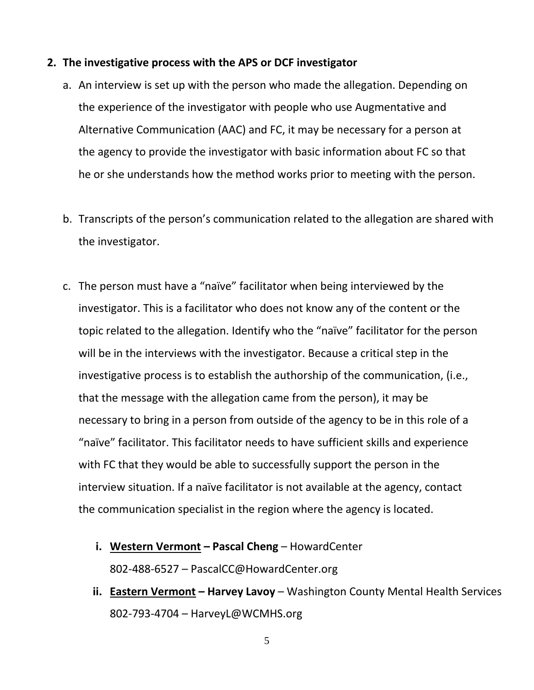## **2. The investigative process with the APS or DCF investigator**

- a. An interview is set up with the person who made the allegation. Depending on the experience of the investigator with people who use Augmentative and Alternative Communication (AAC) and FC, it may be necessary for a person at the agency to provide the investigator with basic information about FC so that he or she understands how the method works prior to meeting with the person.
- b. Transcripts of the person's communication related to the allegation are shared with the investigator.
- c. The person must have a "naïve" facilitator when being interviewed by the investigator. This is a facilitator who does not know any of the content or the topic related to the allegation. Identify who the "naïve" facilitator for the person will be in the interviews with the investigator. Because a critical step in the investigative process is to establish the authorship of the communication, (i.e., that the message with the allegation came from the person), it may be necessary to bring in a person from outside of the agency to be in this role of a "naïve" facilitator. This facilitator needs to have sufficient skills and experience with FC that they would be able to successfully support the person in the interview situation. If a naïve facilitator is not available at the agency, contact the communication specialist in the region where the agency is located.
	- **i. Western Vermont – Pascal Cheng**  HowardCenter 802-488-6527 – PascalCC@HowardCenter.org
	- **ii. Eastern Vermont – Harvey Lavoy**  Washington County Mental Health Services 802-793-4704 – HarveyL@WCMHS.org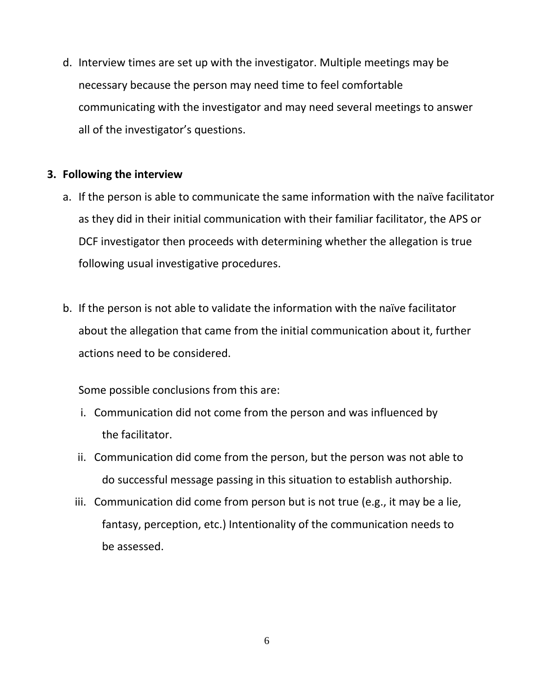d. Interview times are set up with the investigator. Multiple meetings may be necessary because the person may need time to feel comfortable communicating with the investigator and may need several meetings to answer all of the investigator's questions.

## **3. Following the interview**

- a. If the person is able to communicate the same information with the naïve facilitator as they did in their initial communication with their familiar facilitator, the APS or DCF investigator then proceeds with determining whether the allegation is true following usual investigative procedures.
- b. If the person is not able to validate the information with the naïve facilitator about the allegation that came from the initial communication about it, further actions need to be considered.

Some possible conclusions from this are:

- i. Communication did not come from the person and was influenced by the facilitator.
- ii. Communication did come from the person, but the person was not able to do successful message passing in this situation to establish authorship.
- iii. Communication did come from person but is not true (e.g., it may be a lie, fantasy, perception, etc.) Intentionality of the communication needs to be assessed.